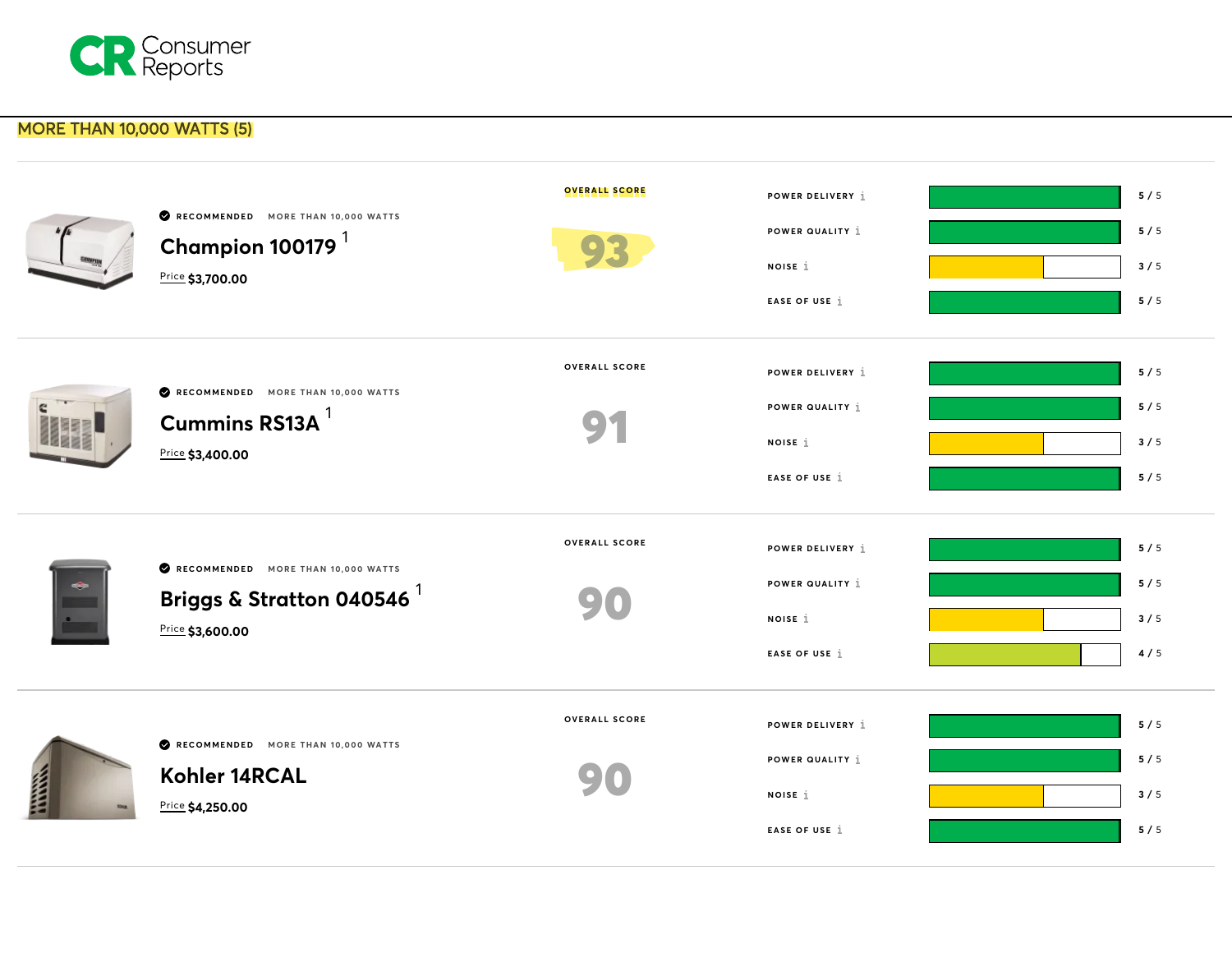

## MORE THAN 10,000 WATTS (5)

|       | RECOMMENDED MORE THAN 10,000 WATTS<br>Champion 100179 $^1$<br>Price \$3,700.00                     | <b>OVERALL SCORE</b> | POWER DELIVERY 1<br>POWER QUALITY 1<br>NOISE 1<br>EASE OF USE 1        | 5/5<br>5/5<br>3/5<br>5/5 |
|-------|----------------------------------------------------------------------------------------------------|----------------------|------------------------------------------------------------------------|--------------------------|
|       | RECOMMENDED MORE THAN 10,000 WATTS<br>Cummins RS13A <sup>1</sup><br>Price \$3,400.00               | <b>OVERALL SCORE</b> | POWER DELIVERY 1<br>POWER QUALITY 1<br>NOISE 1<br>EASE OF USE 1        | 5/5<br>5/5<br>3/5<br>5/5 |
|       | RECOMMENDED MORE THAN 10,000 WATTS<br>Briggs & Stratton 040546 $^{\mathrm{1}}$<br>Price \$3,600.00 | <b>OVERALL SCORE</b> | POWER DELIVERY 1<br>POWER QUALITY 1<br>NOISE 1<br>EASE OF USE 1        | 5/5<br>5/5<br>3/5<br>4/5 |
| THEFT | RECOMMENDED MORE THAN 10,000 WATTS<br>Kohler 14RCAL<br>Price \$4,250.00                            | <b>OVERALL SCORE</b> | POWER DELIVERY 1<br>POWER QUALITY 1<br>NOISE 1<br><b>EASE OF USE 1</b> | 5/5<br>5/5<br>3/5<br>5/5 |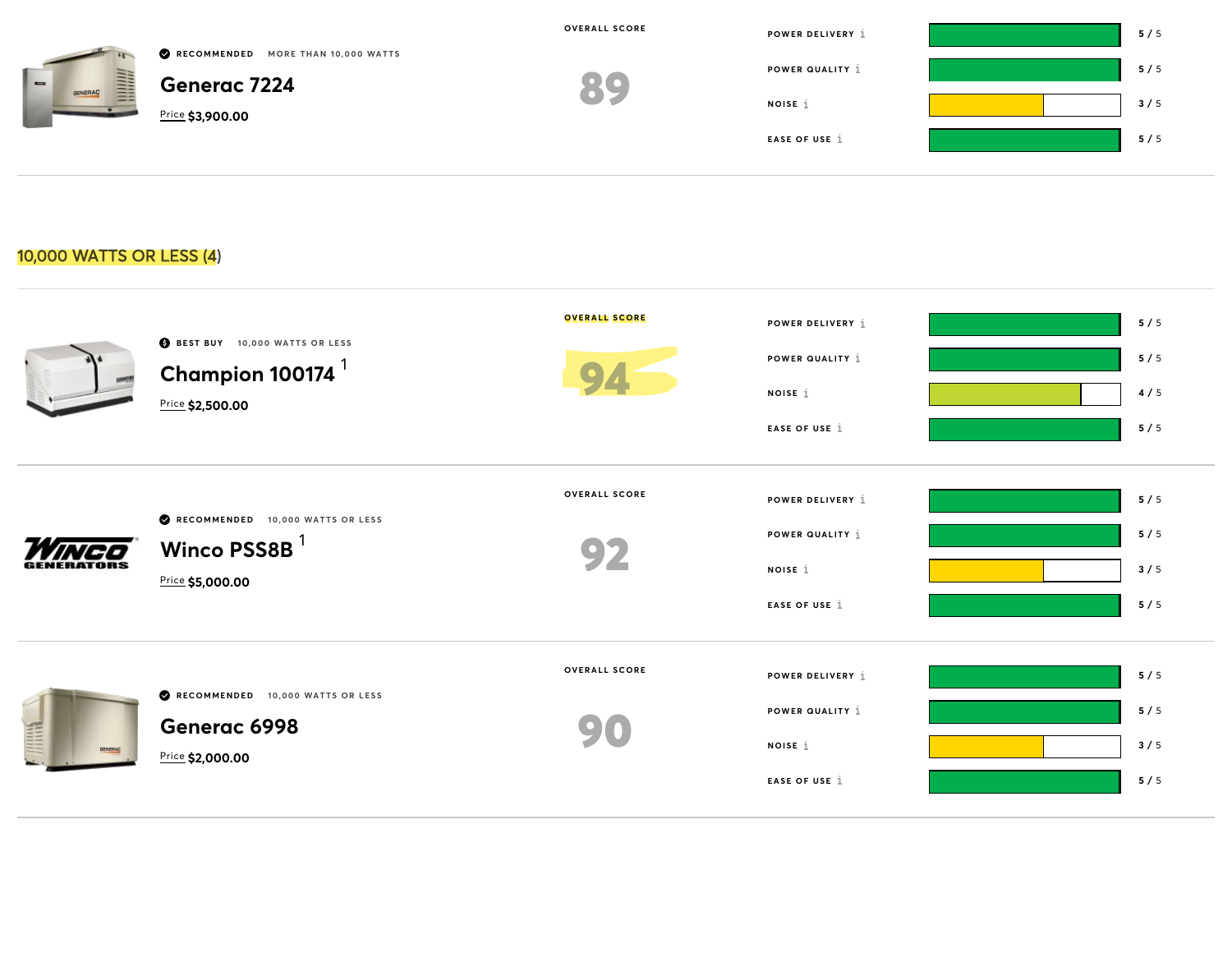| $\overline{\phantom{a}}$<br>丰<br>GENERAC | RECOMMENDED MORE THAN 10,000 WATTS<br><b>Generac 7224</b><br>Price \$3,900.00 | OVERALL SCORE<br>89 | POWER DELIVERY 1<br>POWER QUALITY 1<br>NOISE 1<br>EASE OF USE 1 | 5/5<br>5/5<br>3/5<br>5/5 |
|------------------------------------------|-------------------------------------------------------------------------------|---------------------|-----------------------------------------------------------------|--------------------------|
| 10,000 WATTS OR LESS (4)                 |                                                                               |                     |                                                                 |                          |

| BEST BUY 10,000 WATTS OR LESS<br>Champion 100174 $^1$<br>Price \$2,500.00        | <b>OVERALL SCORE</b> | POWER DELIVERY 1<br>POWER QUALITY 1<br>NOISE 1<br>EASE OF USE 1 | 5/5<br>5/5<br>4/5<br>5/5 |
|----------------------------------------------------------------------------------|----------------------|-----------------------------------------------------------------|--------------------------|
| RECOMMENDED 10,000 WATTS OR LESS<br>Winco PSS8B <sup>1</sup><br>Price \$5,000.00 | <b>OVERALL SCORE</b> | POWER DELIVERY 1<br>POWER QUALITY 1<br>NOISE 1<br>EASE OF USE 1 | 5/5<br>5/5<br>3/5<br>5/5 |
| RECOMMENDED 10,000 WATTS OR LESS<br>Generac 6998<br>Price \$2,000.00             | <b>OVERALL SCORE</b> | POWER DELIVERY 1<br>POWER QUALITY 1<br>NOISE 1<br>EASE OF USE 1 | 5/5<br>5/5<br>3/5<br>5/5 |